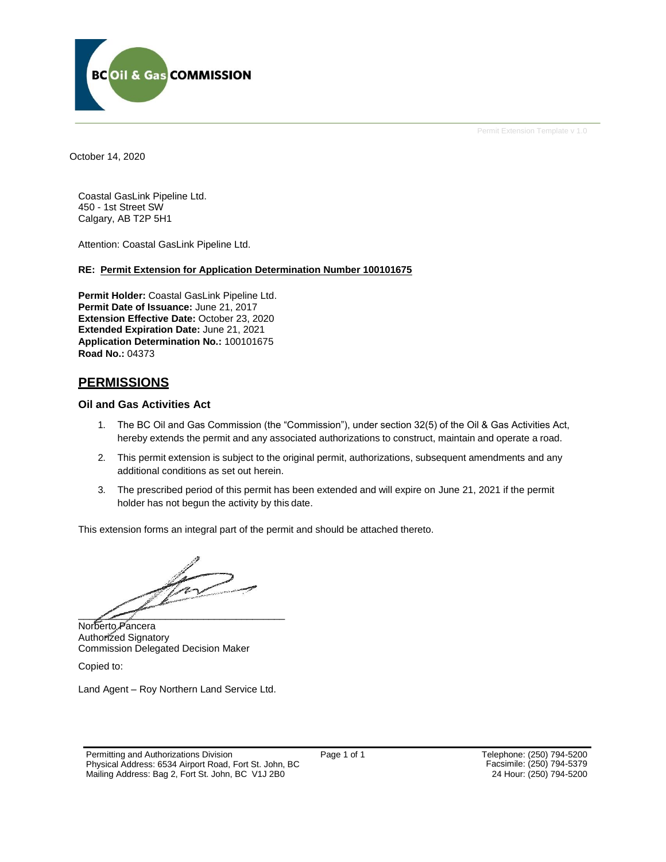

Permit Extension Template v 1.0

October 14, 2020

Coastal GasLink Pipeline Ltd. 450 - 1st Street SW Calgary, AB T2P 5H1

Attention: Coastal GasLink Pipeline Ltd.

### **RE: Permit Extension for Application Determination Number 100101675**

**Permit Holder:** Coastal GasLink Pipeline Ltd. **Permit Date of Issuance:** June 21, 2017 **Extension Effective Date:** October 23, 2020 **Extended Expiration Date:** June 21, 2021 **Application Determination No.:** 100101675 **Road No.:** 04373

## **PERMISSIONS**

### **Oil and Gas Activities Act**

- 1. The BC Oil and Gas Commission (the "Commission"), under section 32(5) of the Oil & Gas Activities Act, hereby extends the permit and any associated authorizations to construct, maintain and operate a road.
- 2. This permit extension is subject to the original permit, authorizations, subsequent amendments and any additional conditions as set out herein.
- 3. The prescribed period of this permit has been extended and will expire on June 21, 2021 if the permit holder has not begun the activity by this date.

This extension forms an integral part of the permit and should be attached thereto.

 $\overline{\phantom{a}}$ 

Norberto Pancera Authorized Signatory Commission Delegated Decision Maker

Copied to:

Land Agent – Roy Northern Land Service Ltd.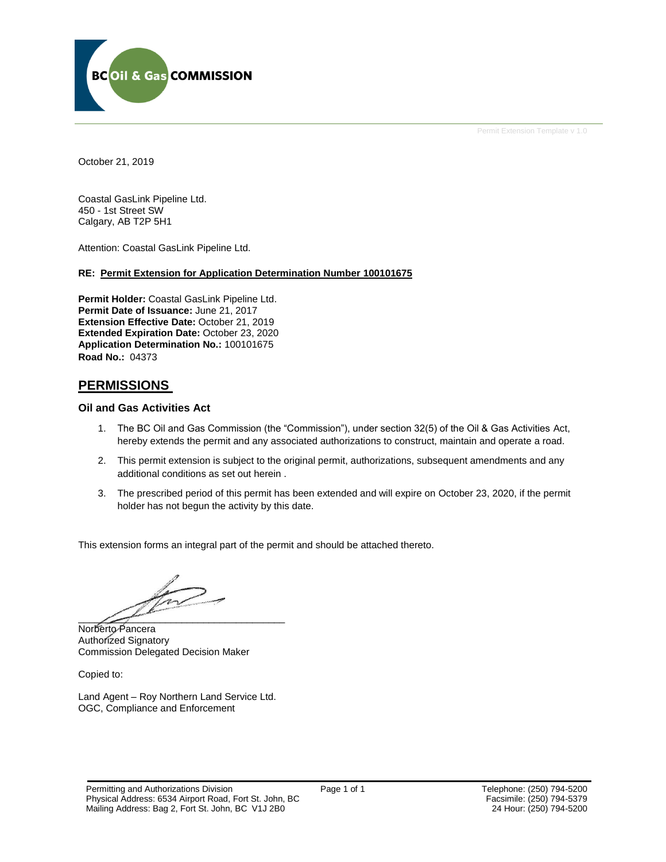

Permit Extension Template v 1.0

October 21, 2019

Coastal GasLink Pipeline Ltd. 450 - 1st Street SW Calgary, AB T2P 5H1

Attention: Coastal GasLink Pipeline Ltd.

### **RE: Permit Extension for Application Determination Number 100101675**

**Permit Holder:** Coastal GasLink Pipeline Ltd. **Permit Date of Issuance:** June 21, 2017 **Extension Effective Date:** October 21, 2019 **Extended Expiration Date:** October 23, 2020 **Application Determination No.:** 100101675 **Road No.:** 04373

## **PERMISSIONS**

### **Oil and Gas Activities Act**

- 1. The BC Oil and Gas Commission (the "Commission"), under section 32(5) of the Oil & Gas Activities Act, hereby extends the permit and any associated authorizations to construct, maintain and operate a road.
- 2. This permit extension is subject to the original permit, authorizations, subsequent amendments and any additional conditions as set out herein .
- 3. The prescribed period of this permit has been extended and will expire on October 23, 2020, if the permit holder has not begun the activity by this date.

This extension forms an integral part of the permit and should be attached thereto.

 $\frac{1}{2}$  and  $\frac{1}{2}$  and  $\frac{1}{2}$  and  $\frac{1}{2}$  and  $\frac{1}{2}$ 

Norberto Pancera Authorized Signatory Commission Delegated Decision Maker

Copied to:

Land Agent – Roy Northern Land Service Ltd. OGC, Compliance and Enforcement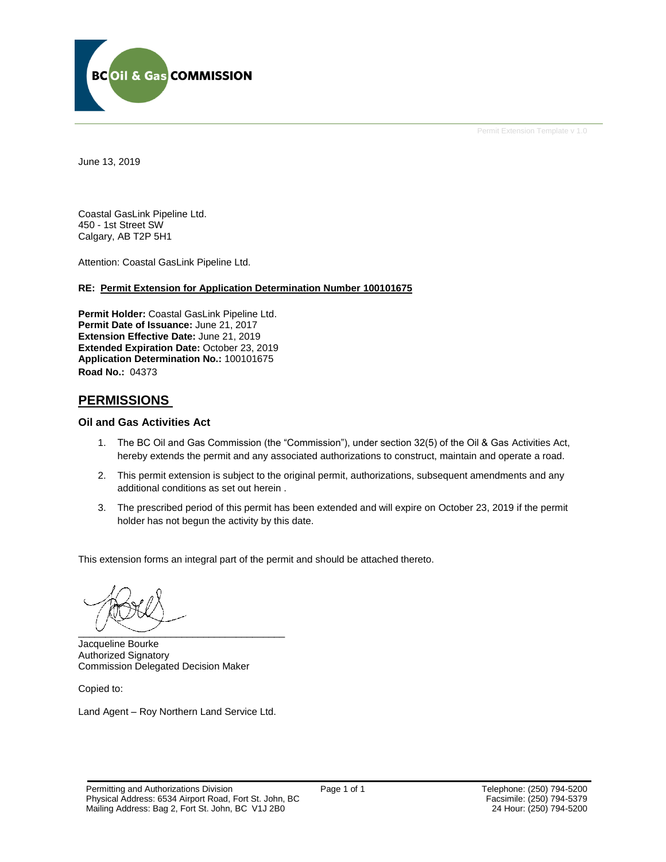

Permit Extension Template v 1.0

June 13, 2019

Coastal GasLink Pipeline Ltd. 450 - 1st Street SW Calgary, AB T2P 5H1

Attention: Coastal GasLink Pipeline Ltd.

### **RE: Permit Extension for Application Determination Number 100101675**

**Permit Holder:** Coastal GasLink Pipeline Ltd. **Permit Date of Issuance:** June 21, 2017 **Extension Effective Date:** June 21, 2019 **Extended Expiration Date:** October 23, 2019 **Application Determination No.:** 100101675 **Road No.:** 04373

### **PERMISSIONS**

#### **Oil and Gas Activities Act**

- 1. The BC Oil and Gas Commission (the "Commission"), under section 32(5) of the Oil & Gas Activities Act, hereby extends the permit and any associated authorizations to construct, maintain and operate a road.
- 2. This permit extension is subject to the original permit, authorizations, subsequent amendments and any additional conditions as set out herein .
- 3. The prescribed period of this permit has been extended and will expire on October 23, 2019 if the permit holder has not begun the activity by this date.

This extension forms an integral part of the permit and should be attached thereto.

 $\overbrace{\phantom{aaaaa}}^{c}$ 

Jacqueline Bourke Authorized Signatory Commission Delegated Decision Maker

Copied to:

Land Agent – Roy Northern Land Service Ltd.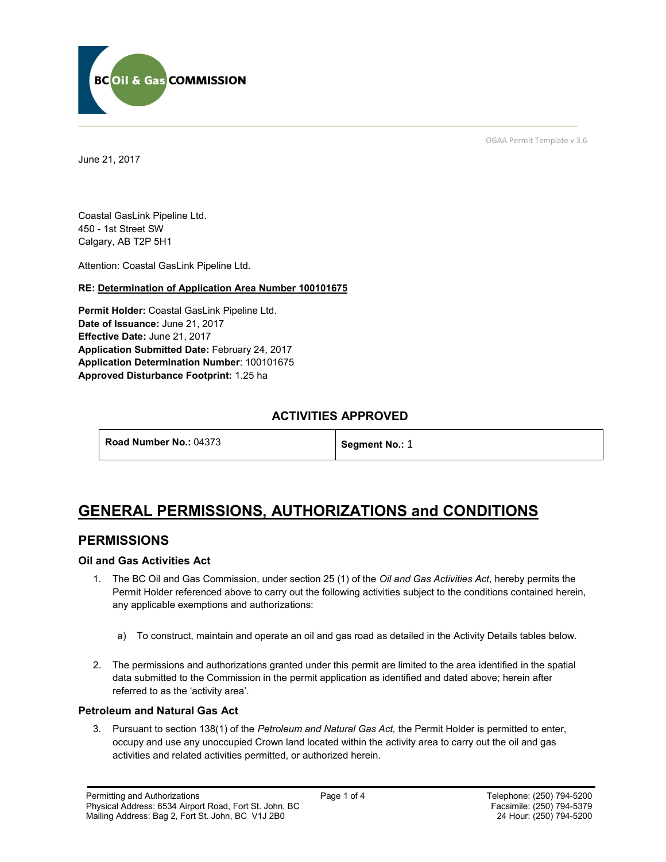

June 21, 2017

OGAA Permit Template v 3.6

Coastal GasLink Pipeline Ltd. 450 - 1st Street SW Calgary, AB T2P 5H1

[Attention:](#page-3-0) Coastal GasLink Pipeline Ltd.

### **RE: Determination of Application Area Number 100101675**

**[Permit Holder:](#page-3-0)** Coastal GasLink Pipeline Ltd. **[Date of Issuance:](#page-3-0)** June 21, 2017 **Effective Date:** June 21, 2017 **[Application Submitted Date:](#page-3-0)** February 24, 2017 **[Application Determination Number](#page-3-0)**: 100101675 **Approved Disturbance Footprint:** 1.25 ha

## **ACTIVITIES APPROVED**

**[Road Number No.:](#page-3-0) 04373 [Segment No.:](https://bi.bcogc.ca/Application%20Processing/Interactive%20Reports/(BIL-041)%20AMS%20Decision%20Summary.aspx) 1** 

# **GENERAL PERMISSIONS, AUTHORIZATIONS and CONDITIONS**

### **PERMISSIONS**

### **Oil and Gas Activities Act**

- <span id="page-3-0"></span>1. The BC Oil and Gas Commission, under section 25 (1) of the *Oil and Gas Activities Act*, hereby permits the Permit Holder referenced above to carry out the following activities subject to the conditions contained herein, any applicable exemptions and authorizations:
	- a) To construct, maintain and operate an oil and gas road as detailed in the Activity Details tables below.
- 2. The permissions and authorizations granted under this permit are limited to the area identified in the spatial data submitted to the Commission in the permit application as identified and dated above; herein after referred to as the 'activity area'.

### **Petroleum and Natural Gas Act**

3. Pursuant to section 138(1) of the *Petroleum and Natural Gas Act,* the Permit Holder is permitted to enter, occupy and use any unoccupied Crown land located within the activity area to carry out the oil and gas activities and related activities permitted, or authorized herein.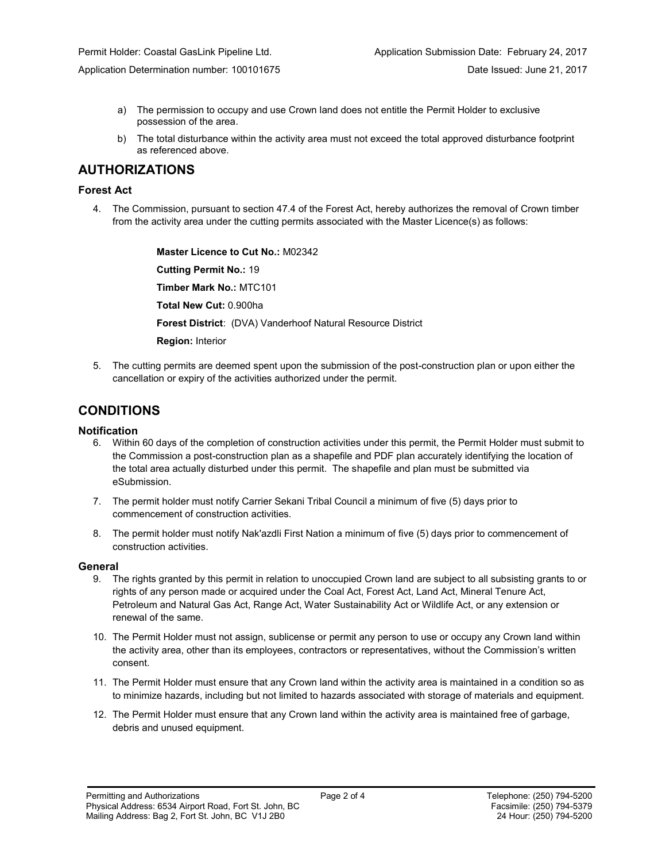Application Determination number: 100101675 **Date Issued: June 21, 2017** Date Issued: June 21, 2017

- a) The permission to occupy and use Crown land does not entitle the Permit Holder to exclusive possession of the area.
- b) The total disturbance within the activity area must not exceed the total approved disturbance footprint as referenced above.

# **AUTHORIZATIONS**

### **Forest Act**

4. The Commission, pursuant to section 47.4 of the Forest Act, hereby authorizes the removal of Crown timber from the activity area under the cutting permits associated with the Master Licence(s) as follows:

> **[Master Licence to Cut No.:](#page-3-0)** M02342 **[Cutting Permit No.:](#page-3-0)** 19 **[Timber Mark No.:](#page-3-0)** MTC101 **[Total New Cut:](#page-3-0)** 0.900ha **[Forest District](https://ams-crd.bcogc.ca/crd/)**: (DVA) Vanderhoof Natural Resource District **Region:** Interior

5. The cutting permits are deemed spent upon the submission of the post-construction plan or upon either the cancellation or expiry of the activities authorized under the permit.

# **CONDITIONS**

### **Notification**

- 6. Within 60 days of the completion of construction activities under this permit, the Permit Holder must submit to the Commission a post-construction plan as a shapefile and PDF plan accurately identifying the location of the total area actually disturbed under this permit. The shapefile and plan must be submitted via eSubmission.
- 7. The permit holder must notify Carrier Sekani Tribal Council a minimum of five (5) days prior to commencement of construction activities.
- 8. The permit holder must notify Nak'azdli First Nation a minimum of five (5) days prior to commencement of construction activities.

### **General**

- 9. The rights granted by this permit in relation to unoccupied Crown land are subject to all subsisting grants to or rights of any person made or acquired under the Coal Act, Forest Act, Land Act, Mineral Tenure Act, Petroleum and Natural Gas Act, Range Act, Water Sustainability Act or Wildlife Act, or any extension or renewal of the same.
- 10. The Permit Holder must not assign, sublicense or permit any person to use or occupy any Crown land within the activity area, other than its employees, contractors or representatives, without the Commission's written consent.
- 11. The Permit Holder must ensure that any Crown land within the activity area is maintained in a condition so as to minimize hazards, including but not limited to hazards associated with storage of materials and equipment.
- 12. The Permit Holder must ensure that any Crown land within the activity area is maintained free of garbage, debris and unused equipment.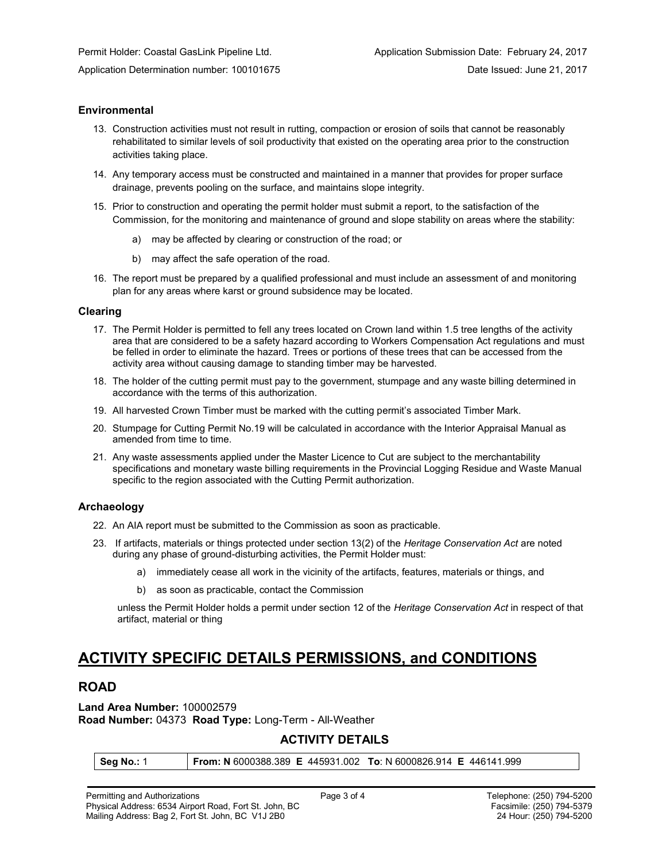### **Environmental**

- 13. Construction activities must not result in rutting, compaction or erosion of soils that cannot be reasonably rehabilitated to similar levels of soil productivity that existed on the operating area prior to the construction activities taking place.
- 14. Any temporary access must be constructed and maintained in a manner that provides for proper surface drainage, prevents pooling on the surface, and maintains slope integrity.
- 15. Prior to construction and operating the permit holder must submit a report, to the satisfaction of the Commission, for the monitoring and maintenance of ground and slope stability on areas where the stability:
	- a) may be affected by clearing or construction of the road; or
	- b) may affect the safe operation of the road.
- 16. The report must be prepared by a qualified professional and must include an assessment of and monitoring plan for any areas where karst or ground subsidence may be located.

#### **Clearing**

- 17. The Permit Holder is permitted to fell any trees located on Crown land within 1.5 tree lengths of the activity area that are considered to be a safety hazard according to Workers Compensation Act regulations and must be felled in order to eliminate the hazard. Trees or portions of these trees that can be accessed from the activity area without causing damage to standing timber may be harvested.
- 18. The holder of the cutting permit must pay to the government, stumpage and any waste billing determined in accordance with the terms of this authorization.
- 19. All harvested Crown Timber must be marked with the cutting permit's associated Timber Mark.
- 20. Stumpage for Cutting Permit No.19 will be calculated in accordance with the Interior Appraisal Manual as amended from time to time.
- 21. Any waste assessments applied under the Master Licence to Cut are subject to the merchantability specifications and monetary waste billing requirements in the Provincial Logging Residue and Waste Manual specific to the region associated with the Cutting Permit authorization.

### **Archaeology**

- 22. An AIA report must be submitted to the Commission as soon as practicable.
- 23. If artifacts, materials or things protected under section 13(2) of the *Heritage Conservation Act* are noted during any phase of ground-disturbing activities, the Permit Holder must:
	- a) immediately cease all work in the vicinity of the artifacts, features, materials or things, and
	- b) as soon as practicable, contact the Commission

unless the Permit Holder holds a permit under section 12 of the *Heritage Conservation Act* in respect of that artifact, material or thing

# **ACTIVITY SPECIFIC DETAILS PERMISSIONS, and CONDITIONS**

### **ROAD**

**Land Area Number:** 100002579 **Road Number:** 04373 **Road Type:** Long-Term - All-Weather

## **ACTIVITY DETAILS**

**Seg No.:** 1 **From: N** 6000388.389 **E** 445931.002 **To**: N 6000826.914 **E** 446141.999